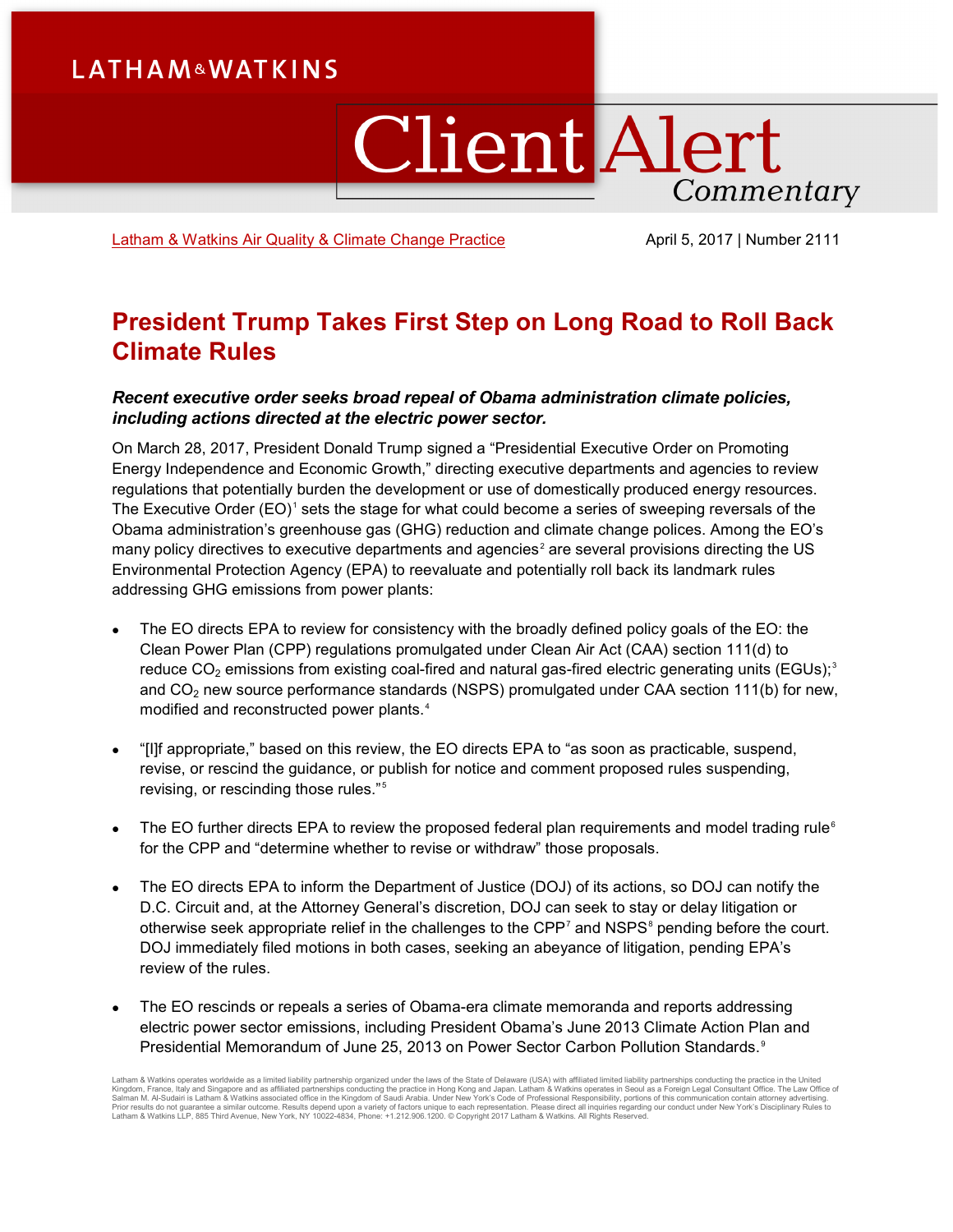# **LATHAM&WATKINS**

# **Client Alert** Commentary

[Latham & Watkins Air Quality & Climate Change Practice](https://www.lw.com/practices/AirQualityAndClimateChange) April 5, 2017 | Number 2111

## **President Trump Takes First Step on Long Road to Roll Back Climate Rules**

### *Recent executive order seeks broad repeal of Obama administration climate policies, including actions directed at the electric power sector.*

On March 28, 2017, President Donald Trump signed a "Presidential Executive Order on Promoting Energy Independence and Economic Growth," directing executive departments and agencies to review regulations that potentially burden the development or use of domestically produced energy resources. The Executive Order  $(EO)^1$  $(EO)^1$  sets the stage for what could become a series of sweeping reversals of the Obama administration's greenhouse gas (GHG) reduction and climate change polices. Among the EO's many policy directives to executive departments and agencies<sup>[2](#page-9-1)</sup> are several provisions directing the US Environmental Protection Agency (EPA) to reevaluate and potentially roll back its landmark rules addressing GHG emissions from power plants:

- The EO directs EPA to review for consistency with the broadly defined policy goals of the EO: the Clean Power Plan (CPP) regulations promulgated under Clean Air Act (CAA) section 111(d) to reduce CO<sub>2</sub> emissions from existing coal-fired and natural gas-fired electric generating units (EGUs);<sup>[3](#page-9-2)</sup> and  $CO<sub>2</sub>$  new source performance standards (NSPS) promulgated under CAA section 111(b) for new, modified and reconstructed power plants.<sup>[4](#page-9-3)</sup>
- "[I]f appropriate," based on this review, the EO directs EPA to "as soon as practicable, suspend, revise, or rescind the guidance, or publish for notice and comment proposed rules suspending, revising, or rescinding those rules."[5](#page-9-4)
- The EO further directs EPA to review the proposed federal plan requirements and model trading rule<sup>[6](#page-9-5)</sup> for the CPP and "determine whether to revise or withdraw" those proposals.
- The EO directs EPA to inform the Department of Justice (DOJ) of its actions, so DOJ can notify the D.C. Circuit and, at the Attorney General's discretion, DOJ can seek to stay or delay litigation or otherwise seek appropriate relief in the challenges to the  $\text{CPP}^7$  $\text{CPP}^7$  and NSPS<sup>[8](#page-9-7)</sup> pending before the court. DOJ immediately filed motions in both cases, seeking an abeyance of litigation, pending EPA's review of the rules.
- The EO rescinds or repeals a series of Obama-era climate memoranda and reports addressing electric power sector emissions, including President Obama's June 2013 Climate Action Plan and Presidential Memorandum of June 25, 2013 on Power Sector Carbon Pollution Standards.<sup>[9](#page-9-8)</sup>

Latham & Watkins operates worldwide as a limited liability partnership organized under the laws of the State of Delaware (USA) with affiliated limited liability partnerships conducting the practice in the United<br>Kingdom, F Salman M. Al-Sudairi is Latham & Watkins associated office in the Kingdom of Saudi Arabia. Under New York's Code of Professional Responsibility, portions of this communication contain attorney advertising.<br>Prior results do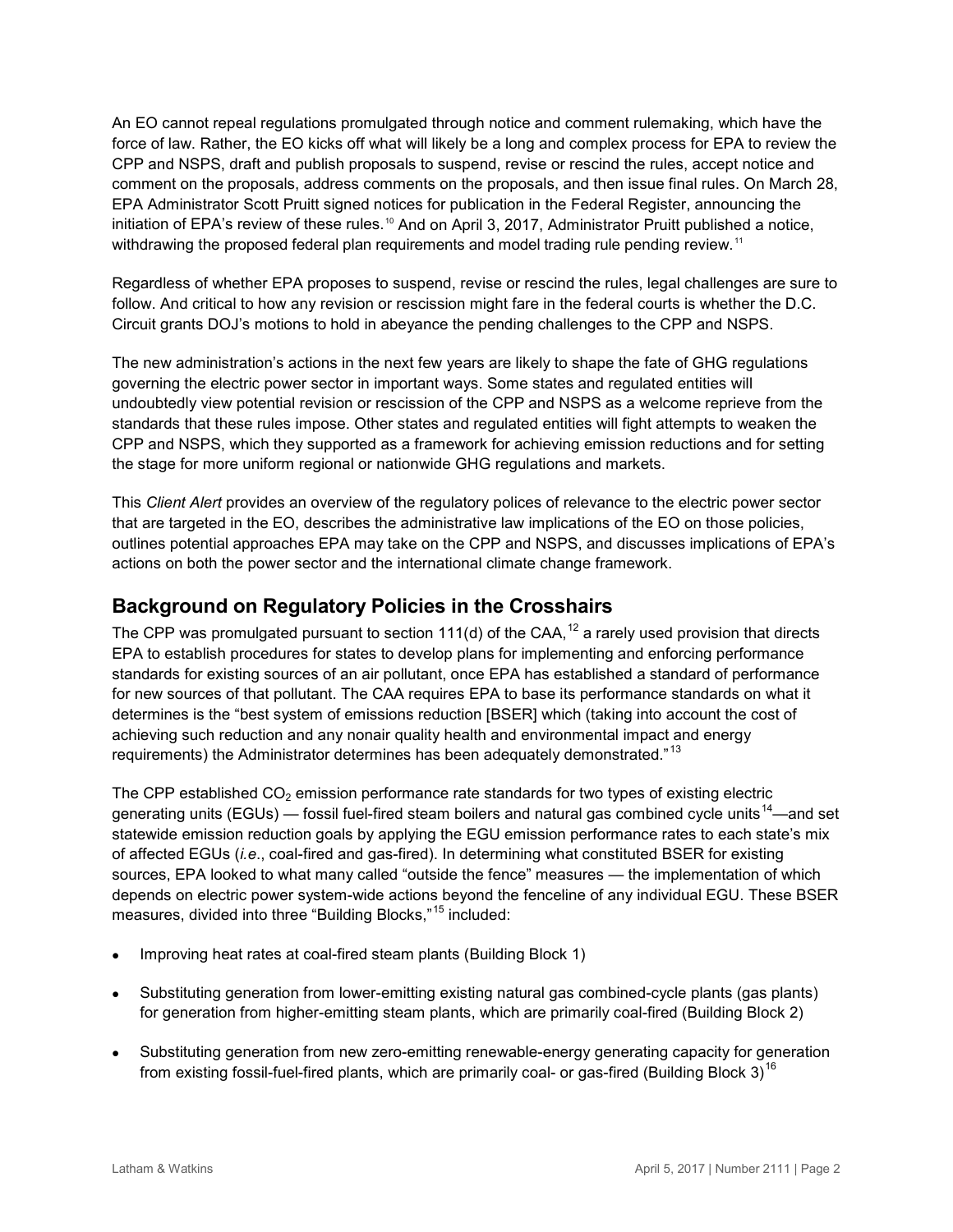An EO cannot repeal regulations promulgated through notice and comment rulemaking, which have the force of law. Rather, the EO kicks off what will likely be a long and complex process for EPA to review the CPP and NSPS, draft and publish proposals to suspend, revise or rescind the rules, accept notice and comment on the proposals, address comments on the proposals, and then issue final rules. On March 28, EPA Administrator Scott Pruitt signed notices for publication in the Federal Register, announcing the initiation of EPA's review of these rules.<sup>[10](#page-10-0)</sup> And on April 3, 2017, Administrator Pruitt published a notice, withdrawing the proposed federal plan requirements and model trading rule pending review.<sup>[11](#page-10-1)</sup>

Regardless of whether EPA proposes to suspend, revise or rescind the rules, legal challenges are sure to follow. And critical to how any revision or rescission might fare in the federal courts is whether the D.C. Circuit grants DOJ's motions to hold in abeyance the pending challenges to the CPP and NSPS.

The new administration's actions in the next few years are likely to shape the fate of GHG regulations governing the electric power sector in important ways. Some states and regulated entities will undoubtedly view potential revision or rescission of the CPP and NSPS as a welcome reprieve from the standards that these rules impose. Other states and regulated entities will fight attempts to weaken the CPP and NSPS, which they supported as a framework for achieving emission reductions and for setting the stage for more uniform regional or nationwide GHG regulations and markets.

This *Client Alert* provides an overview of the regulatory polices of relevance to the electric power sector that are targeted in the EO, describes the administrative law implications of the EO on those policies, outlines potential approaches EPA may take on the CPP and NSPS, and discusses implications of EPA's actions on both the power sector and the international climate change framework.

## **Background on Regulatory Policies in the Crosshairs**

The CPP was promulgated pursuant to section 111(d) of the CAA,  $^{12}$  $^{12}$  $^{12}$  a rarely used provision that directs EPA to establish procedures for states to develop plans for implementing and enforcing performance standards for existing sources of an air pollutant, once EPA has established a standard of performance for new sources of that pollutant. The CAA requires EPA to base its performance standards on what it determines is the "best system of emissions reduction [BSER] which (taking into account the cost of achieving such reduction and any nonair quality health and environmental impact and energy requirements) the Administrator determines has been adequately demonstrated."<sup>[13](#page-10-3)</sup>

The CPP established  $CO<sub>2</sub>$  emission performance rate standards for two types of existing electric generating units (EGUs) — fossil fuel-fired steam boilers and natural gas combined cycle units<sup>14</sup>—and set statewide emission reduction goals by applying the EGU emission performance rates to each state's mix of affected EGUs (*i.e*., coal-fired and gas-fired). In determining what constituted BSER for existing sources, EPA looked to what many called "outside the fence" measures — the implementation of which depends on electric power system-wide actions beyond the fenceline of any individual EGU. These BSER measures, divided into three "Building Blocks,"<sup>[15](#page-10-5)</sup> included:

- Improving heat rates at coal-fired steam plants (Building Block 1)
- Substituting generation from lower-emitting existing natural gas combined-cycle plants (gas plants) for generation from higher-emitting steam plants, which are primarily coal-fired (Building Block 2)
- Substituting generation from new zero-emitting renewable-energy generating capacity for generation from existing fossil-fuel-fired plants, which are primarily coal- or gas-fired (Building Block 3)<sup>[16](#page-10-6)</sup>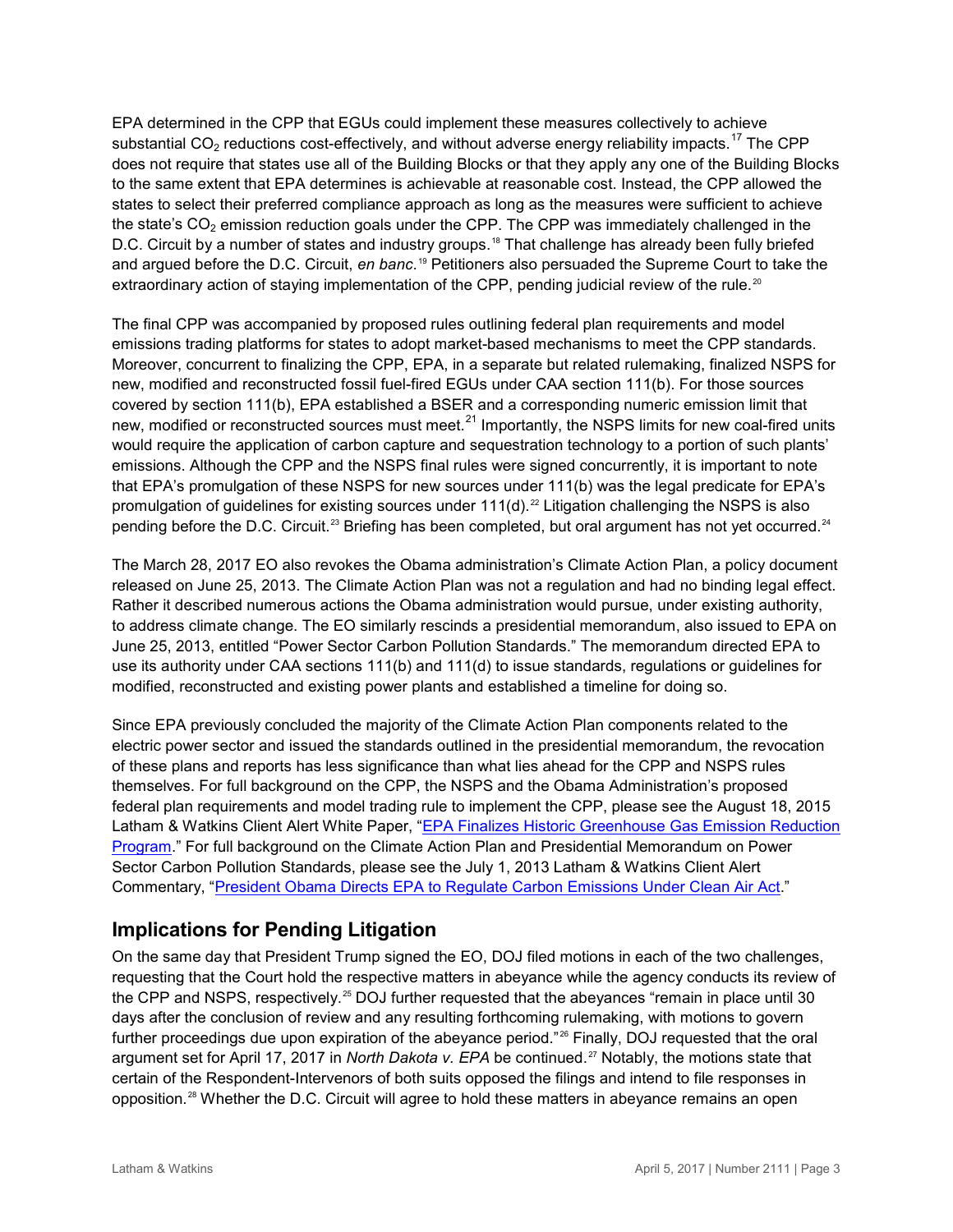EPA determined in the CPP that EGUs could implement these measures collectively to achieve substantial  $CO<sub>2</sub>$  reductions cost-effectively, and without adverse energy reliability impacts.<sup>[17](#page-11-0)</sup> The CPP does not require that states use all of the Building Blocks or that they apply any one of the Building Blocks to the same extent that EPA determines is achievable at reasonable cost. Instead, the CPP allowed the states to select their preferred compliance approach as long as the measures were sufficient to achieve the state's  $CO<sub>2</sub>$  emission reduction goals under the CPP. The CPP was immediately challenged in the D.C. Circuit by a number of states and industry groups.<sup>[18](#page-11-1)</sup> That challenge has already been fully briefed and argued before the D.C. Circuit, *en banc*. [19](#page-11-2) Petitioners also persuaded the Supreme Court to take the extraordinary action of staying implementation of the CPP, pending judicial review of the rule.<sup>[20](#page-11-3)</sup>

The final CPP was accompanied by proposed rules outlining federal plan requirements and model emissions trading platforms for states to adopt market-based mechanisms to meet the CPP standards. Moreover, concurrent to finalizing the CPP, EPA, in a separate but related rulemaking, finalized NSPS for new, modified and reconstructed fossil fuel-fired EGUs under CAA section 111(b). For those sources covered by section 111(b), EPA established a BSER and a corresponding numeric emission limit that new, modified or reconstructed sources must meet.<sup>[21](#page-11-4)</sup> Importantly, the NSPS limits for new coal-fired units would require the application of carbon capture and sequestration technology to a portion of such plants' emissions. Although the CPP and the NSPS final rules were signed concurrently, it is important to note that EPA's promulgation of these NSPS for new sources under 111(b) was the legal predicate for EPA's promulgation of guidelines for existing sources under  $111(d)$ .<sup>[22](#page-11-5)</sup> Litigation challenging the NSPS is also pending before the D.C. Circuit.<sup>[23](#page-11-6)</sup> Briefing has been completed, but oral argument has not yet occurred.<sup>[24](#page-11-7)</sup>

The March 28, 2017 EO also revokes the Obama administration's Climate Action Plan, a policy document released on June 25, 2013. The Climate Action Plan was not a regulation and had no binding legal effect. Rather it described numerous actions the Obama administration would pursue, under existing authority, to address climate change. The EO similarly rescinds a presidential memorandum, also issued to EPA on June 25, 2013, entitled "Power Sector Carbon Pollution Standards." The memorandum directed EPA to use its authority under CAA sections 111(b) and 111(d) to issue standards, regulations or guidelines for modified, reconstructed and existing power plants and established a timeline for doing so.

Since EPA previously concluded the majority of the Climate Action Plan components related to the electric power sector and issued the standards outlined in the presidential memorandum, the revocation of these plans and reports has less significance than what lies ahead for the CPP and NSPS rules themselves. For full background on the CPP, the NSPS and the Obama Administration's proposed federal plan requirements and model trading rule to implement the CPP, please see the August 18, 2015 Latham & Watkins Client Alert White Paper, ["EPA Finalizes Historic Greenhouse Gas Emission Reduction](https://www.lw.com/thoughtLeadership/lw-epa-issues-final-ghg-rules)  [Program.](https://www.lw.com/thoughtLeadership/lw-epa-issues-final-ghg-rules)" For full background on the Climate Action Plan and Presidential Memorandum on Power Sector Carbon Pollution Standards, please see the July 1, 2013 Latham & Watkins Client Alert Commentary, ["President Obama Directs EPA to Regulate Carbon Emissions Under Clean Air Act.](https://www.lw.com/thoughtLeadership/LW-obama-carbon-emissions-plan)"

## **Implications for Pending Litigation**

On the same day that President Trump signed the EO, DOJ filed motions in each of the two challenges, requesting that the Court hold the respective matters in abeyance while the agency conducts its review of the CPP and NSPS, respectively.<sup>[25](#page-11-8)</sup> DOJ further requested that the abeyances "remain in place until 30 days after the conclusion of review and any resulting forthcoming rulemaking, with motions to govern further proceedings due upon expiration of the abeyance period."<sup>[26](#page-11-9)</sup> Finally, DOJ requested that the oral argument set for April 17, 2017 in *North Dakota v. EPA* be continued.<sup>[27](#page-11-10)</sup> Notably, the motions state that certain of the Respondent-Intervenors of both suits opposed the filings and intend to file responses in opposition.[28](#page-11-11) Whether the D.C. Circuit will agree to hold these matters in abeyance remains an open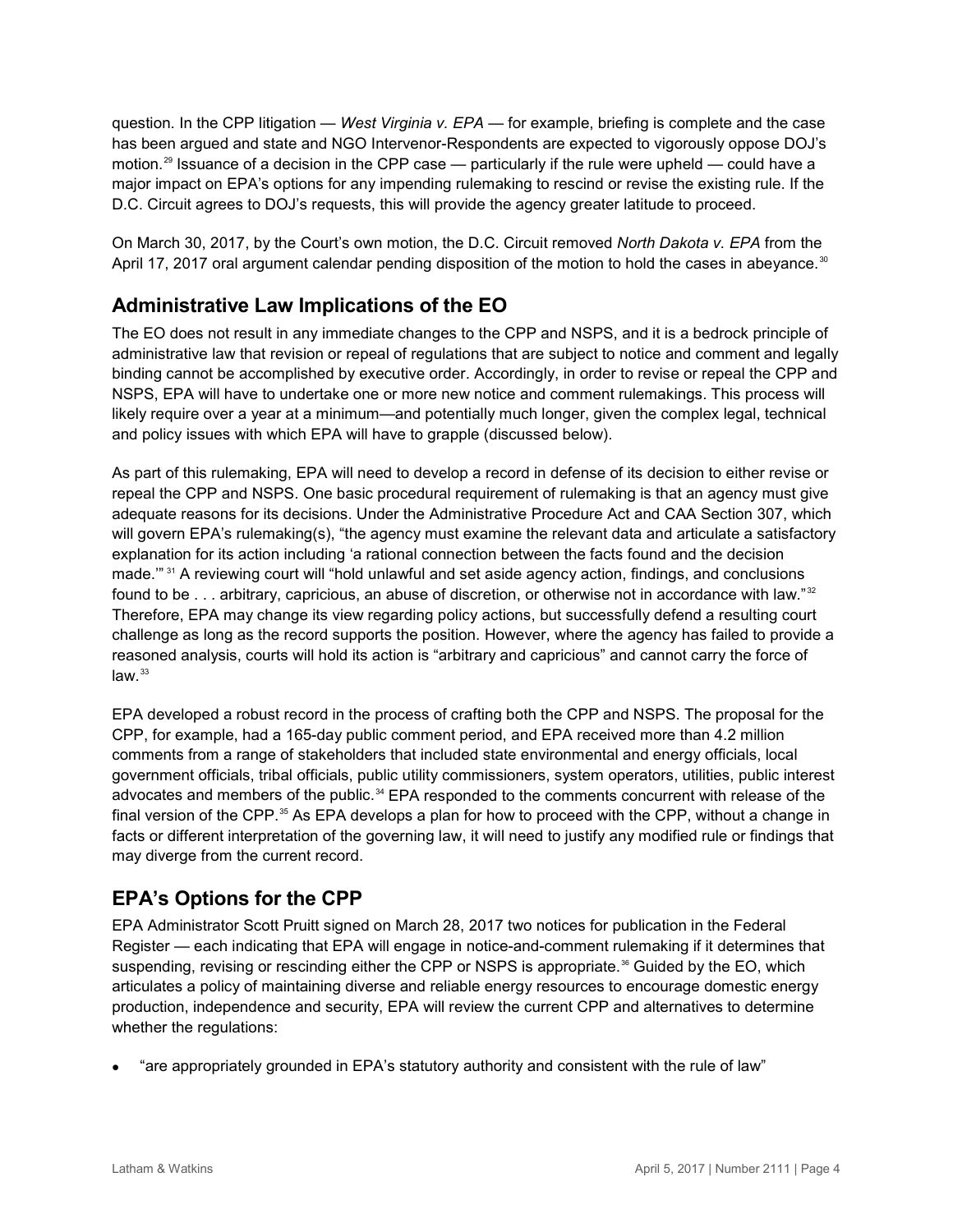question. In the CPP litigation — *West Virginia v. EPA* — for example, briefing is complete and the case has been argued and state and NGO Intervenor-Respondents are expected to vigorously oppose DOJ's motion.<sup>[29](#page-11-12)</sup> Issuance of a decision in the CPP case — particularly if the rule were upheld — could have a major impact on EPA's options for any impending rulemaking to rescind or revise the existing rule. If the D.C. Circuit agrees to DOJ's requests, this will provide the agency greater latitude to proceed.

On March 30, 2017, by the Court's own motion, the D.C. Circuit removed *North Dakota v. EPA* from the April 17, 2017 oral argument calendar pending disposition of the motion to hold the cases in abeyance. $^{\text{30}}$  $^{\text{30}}$  $^{\text{30}}$ 

## **Administrative Law Implications of the EO**

The EO does not result in any immediate changes to the CPP and NSPS, and it is a bedrock principle of administrative law that revision or repeal of regulations that are subject to notice and comment and legally binding cannot be accomplished by executive order. Accordingly, in order to revise or repeal the CPP and NSPS, EPA will have to undertake one or more new notice and comment rulemakings. This process will likely require over a year at a minimum—and potentially much longer, given the complex legal, technical and policy issues with which EPA will have to grapple (discussed below).

As part of this rulemaking, EPA will need to develop a record in defense of its decision to either revise or repeal the CPP and NSPS. One basic procedural requirement of rulemaking is that an agency must give adequate reasons for its decisions. Under the Administrative Procedure Act and CAA Section 307, which will govern EPA's rulemaking(s), "the agency must examine the relevant data and articulate a satisfactory explanation for its action including 'a rational connection between the facts found and the decision made." <sup>[31](#page-11-14)</sup> A reviewing court will "hold unlawful and set aside agency action, findings, and conclusions found to be . . . arbitrary, capricious, an abuse of discretion, or otherwise not in accordance with law."<sup>[32](#page-11-15)</sup> Therefore, EPA may change its view regarding policy actions, but successfully defend a resulting court challenge as long as the record supports the position. However, where the agency has failed to provide a reasoned analysis, courts will hold its action is "arbitrary and capricious" and cannot carry the force of  $law.<sup>33</sup>$  $law.<sup>33</sup>$  $law.<sup>33</sup>$ 

EPA developed a robust record in the process of crafting both the CPP and NSPS. The proposal for the CPP, for example, had a 165-day public comment period, and EPA received more than 4.2 million comments from a range of stakeholders that included state environmental and energy officials, local government officials, tribal officials, public utility commissioners, system operators, utilities, public interest advocates and members of the public.<sup>[34](#page-11-17)</sup> EPA responded to the comments concurrent with release of the final version of the CPP.<sup>[35](#page-11-18)</sup> As EPA develops a plan for how to proceed with the CPP, without a change in facts or different interpretation of the governing law, it will need to justify any modified rule or findings that may diverge from the current record.

## **EPA's Options for the CPP**

EPA Administrator Scott Pruitt signed on March 28, 2017 two notices for publication in the Federal Register — each indicating that EPA will engage in notice-and-comment rulemaking if it determines that suspending, revising or rescinding either the CPP or NSPS is appropriate. [36](#page-11-19) Guided by the EO, which articulates a policy of maintaining diverse and reliable energy resources to encourage domestic energy production, independence and security, EPA will review the current CPP and alternatives to determine whether the regulations:

• "are appropriately grounded in EPA's statutory authority and consistent with the rule of law"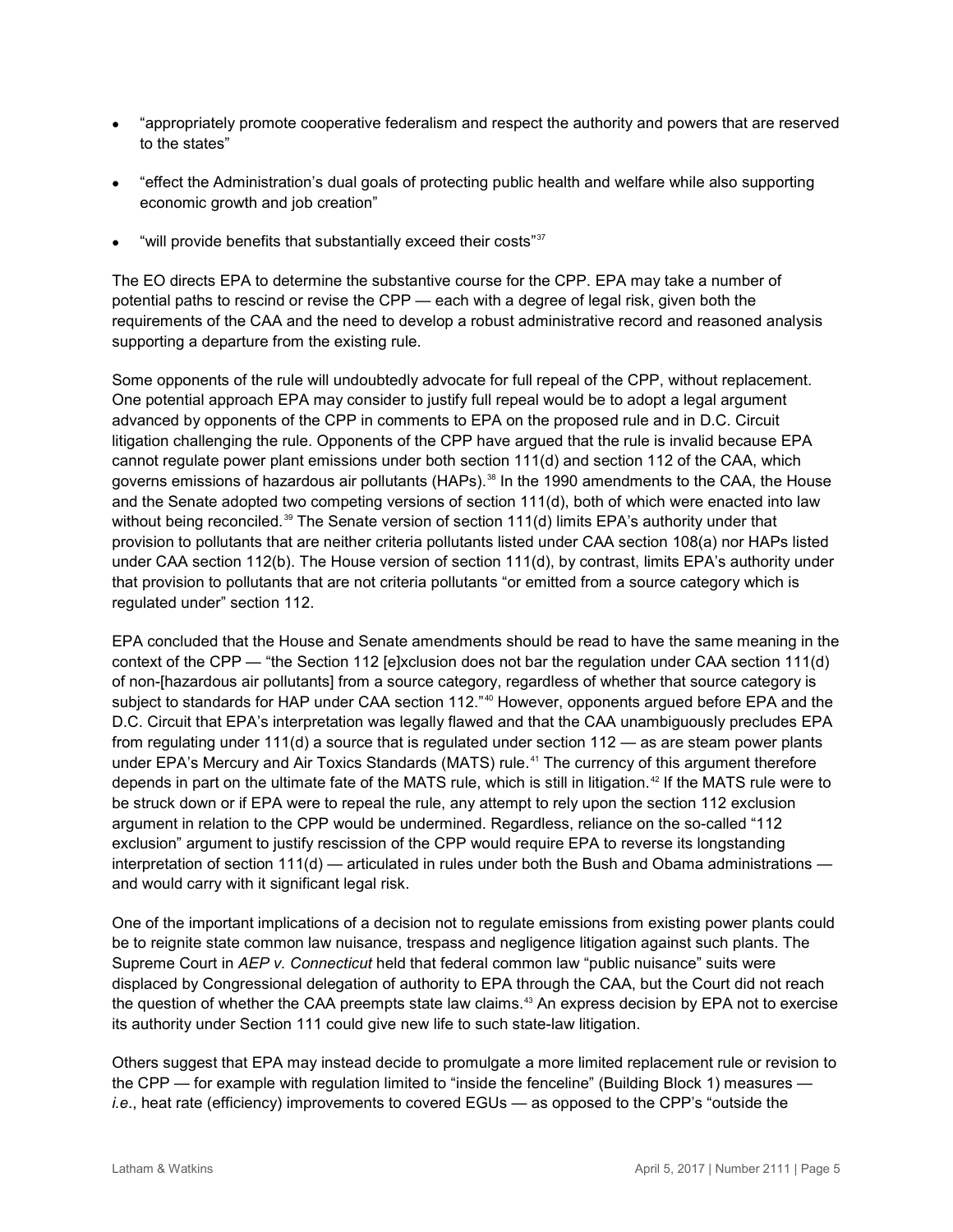- "appropriately promote cooperative federalism and respect the authority and powers that are reserved to the states"
- "effect the Administration's dual goals of protecting public health and welfare while also supporting economic growth and job creation"
- "will provide benefits that substantially exceed their costs"<sup>[37](#page-11-20)</sup>

The EO directs EPA to determine the substantive course for the CPP. EPA may take a number of potential paths to rescind or revise the CPP — each with a degree of legal risk, given both the requirements of the CAA and the need to develop a robust administrative record and reasoned analysis supporting a departure from the existing rule.

Some opponents of the rule will undoubtedly advocate for full repeal of the CPP, without replacement. One potential approach EPA may consider to justify full repeal would be to adopt a legal argument advanced by opponents of the CPP in comments to EPA on the proposed rule and in D.C. Circuit litigation challenging the rule. Opponents of the CPP have argued that the rule is invalid because EPA cannot regulate power plant emissions under both section 111(d) and section 112 of the CAA, which governs emissions of hazardous air pollutants (HAPs). [38](#page-11-21) In the 1990 amendments to the CAA, the House and the Senate adopted two competing versions of section 111(d), both of which were enacted into law without being reconciled.<sup>[39](#page-11-22)</sup> The Senate version of section 111(d) limits EPA's authority under that provision to pollutants that are neither criteria pollutants listed under CAA section 108(a) nor HAPs listed under CAA section 112(b). The House version of section 111(d), by contrast, limits EPA's authority under that provision to pollutants that are not criteria pollutants "or emitted from a source category which is regulated under" section 112.

EPA concluded that the House and Senate amendments should be read to have the same meaning in the context of the CPP — "the Section 112 [e]xclusion does not bar the regulation under CAA section 111(d) of non-[hazardous air pollutants] from a source category, regardless of whether that source category is subject to standards for HAP under CAA section 112."<sup>[40](#page-11-23)</sup> However, opponents argued before EPA and the D.C. Circuit that EPA's interpretation was legally flawed and that the CAA unambiguously precludes EPA from regulating under 111(d) a source that is regulated under section 112 — as are steam power plants under EPA's Mercury and Air Toxics Standards (MATS) rule.<sup>[41](#page-11-24)</sup> The currency of this argument therefore depends in part on the ultimate fate of the MATS rule, which is still in litigation.<sup>[42](#page-11-25)</sup> If the MATS rule were to be struck down or if EPA were to repeal the rule, any attempt to rely upon the section 112 exclusion argument in relation to the CPP would be undermined. Regardless, reliance on the so-called "112 exclusion" argument to justify rescission of the CPP would require EPA to reverse its longstanding interpretation of section 111(d) — articulated in rules under both the Bush and Obama administrations and would carry with it significant legal risk.

One of the important implications of a decision not to regulate emissions from existing power plants could be to reignite state common law nuisance, trespass and negligence litigation against such plants. The Supreme Court in *AEP v. Connecticut* held that federal common law "public nuisance" suits were displaced by Congressional delegation of authority to EPA through the CAA, but the Court did not reach the question of whether the CAA preempts state law claims. [43](#page-11-26) An express decision by EPA not to exercise its authority under Section 111 could give new life to such state-law litigation.

Others suggest that EPA may instead decide to promulgate a more limited replacement rule or revision to the CPP — for example with regulation limited to "inside the fenceline" (Building Block 1) measures *i.e*., heat rate (efficiency) improvements to covered EGUs — as opposed to the CPP's "outside the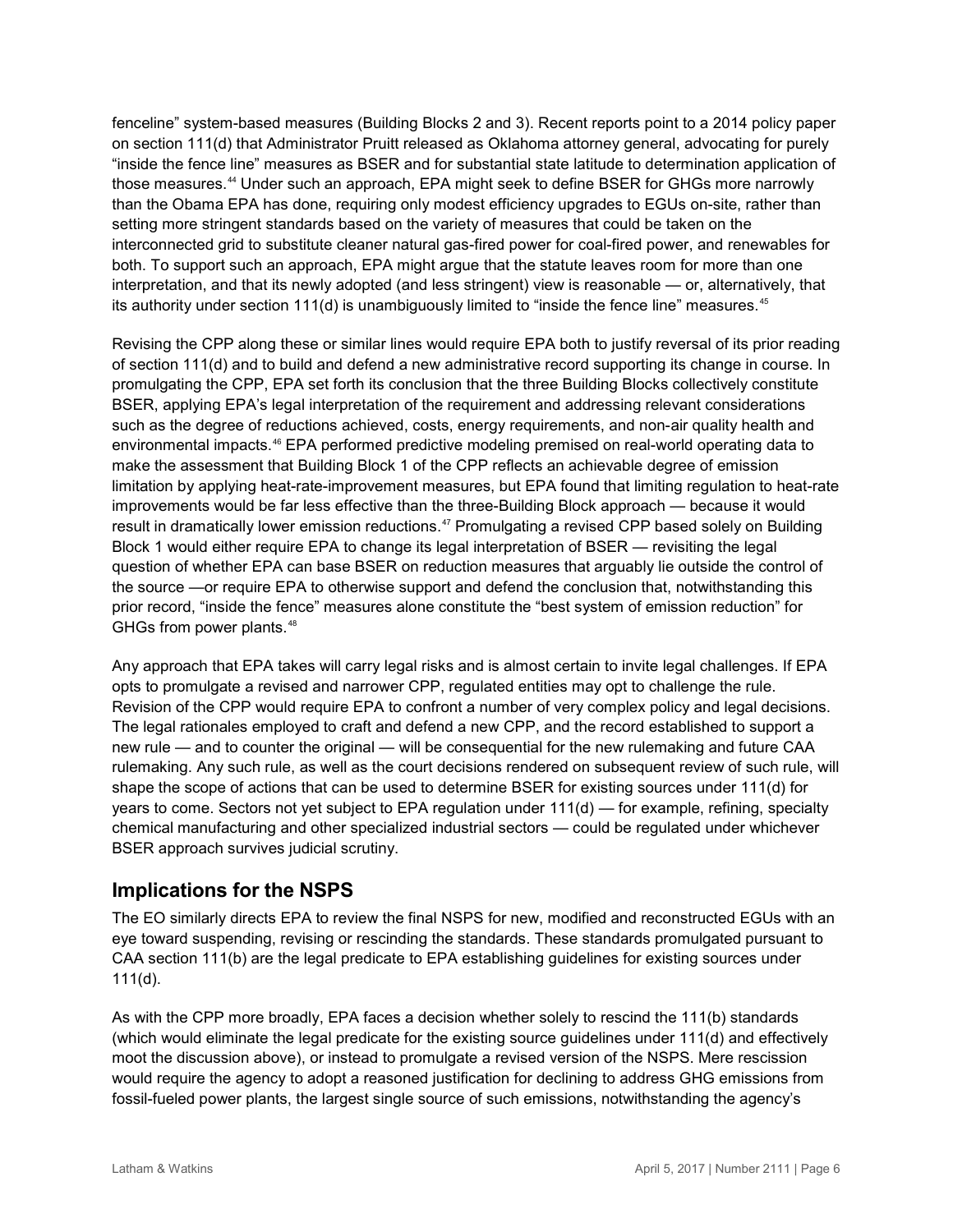fenceline" system-based measures (Building Blocks 2 and 3). Recent reports point to a 2014 policy paper on section 111(d) that Administrator Pruitt released as Oklahoma attorney general, advocating for purely "inside the fence line" measures as BSER and for substantial state latitude to determination application of those measures.<sup>[44](#page-11-27)</sup> Under such an approach, EPA might seek to define BSER for GHGs more narrowly than the Obama EPA has done, requiring only modest efficiency upgrades to EGUs on-site, rather than setting more stringent standards based on the variety of measures that could be taken on the interconnected grid to substitute cleaner natural gas-fired power for coal-fired power, and renewables for both. To support such an approach, EPA might argue that the statute leaves room for more than one interpretation, and that its newly adopted (and less stringent) view is reasonable — or, alternatively, that its authority under section 111(d) is unambiguously limited to "inside the fence line" measures.<sup>[45](#page-11-28)</sup>

Revising the CPP along these or similar lines would require EPA both to justify reversal of its prior reading of section 111(d) and to build and defend a new administrative record supporting its change in course. In promulgating the CPP, EPA set forth its conclusion that the three Building Blocks collectively constitute BSER, applying EPA's legal interpretation of the requirement and addressing relevant considerations such as the degree of reductions achieved, costs, energy requirements, and non-air quality health and environmental impacts.<sup>[46](#page-11-29)</sup> EPA performed predictive modeling premised on real-world operating data to make the assessment that Building Block 1 of the CPP reflects an achievable degree of emission limitation by applying heat-rate-improvement measures, but EPA found that limiting regulation to heat-rate improvements would be far less effective than the three-Building Block approach — because it would result in dramatically lower emission reductions. [47](#page-11-30) Promulgating a revised CPP based solely on Building Block 1 would either require EPA to change its legal interpretation of BSER — revisiting the legal question of whether EPA can base BSER on reduction measures that arguably lie outside the control of the source —or require EPA to otherwise support and defend the conclusion that, notwithstanding this prior record, "inside the fence" measures alone constitute the "best system of emission reduction" for GHGs from power plants.<sup>[48](#page-11-31)</sup>

Any approach that EPA takes will carry legal risks and is almost certain to invite legal challenges. If EPA opts to promulgate a revised and narrower CPP, regulated entities may opt to challenge the rule. Revision of the CPP would require EPA to confront a number of very complex policy and legal decisions. The legal rationales employed to craft and defend a new CPP, and the record established to support a new rule — and to counter the original — will be consequential for the new rulemaking and future CAA rulemaking. Any such rule, as well as the court decisions rendered on subsequent review of such rule, will shape the scope of actions that can be used to determine BSER for existing sources under 111(d) for years to come. Sectors not yet subject to EPA regulation under 111(d) — for example, refining, specialty chemical manufacturing and other specialized industrial sectors — could be regulated under whichever BSER approach survives judicial scrutiny.

## **Implications for the NSPS**

The EO similarly directs EPA to review the final NSPS for new, modified and reconstructed EGUs with an eye toward suspending, revising or rescinding the standards. These standards promulgated pursuant to CAA section 111(b) are the legal predicate to EPA establishing guidelines for existing sources under  $111(d)$ .

As with the CPP more broadly, EPA faces a decision whether solely to rescind the 111(b) standards (which would eliminate the legal predicate for the existing source guidelines under 111(d) and effectively moot the discussion above), or instead to promulgate a revised version of the NSPS. Mere rescission would require the agency to adopt a reasoned justification for declining to address GHG emissions from fossil-fueled power plants, the largest single source of such emissions, notwithstanding the agency's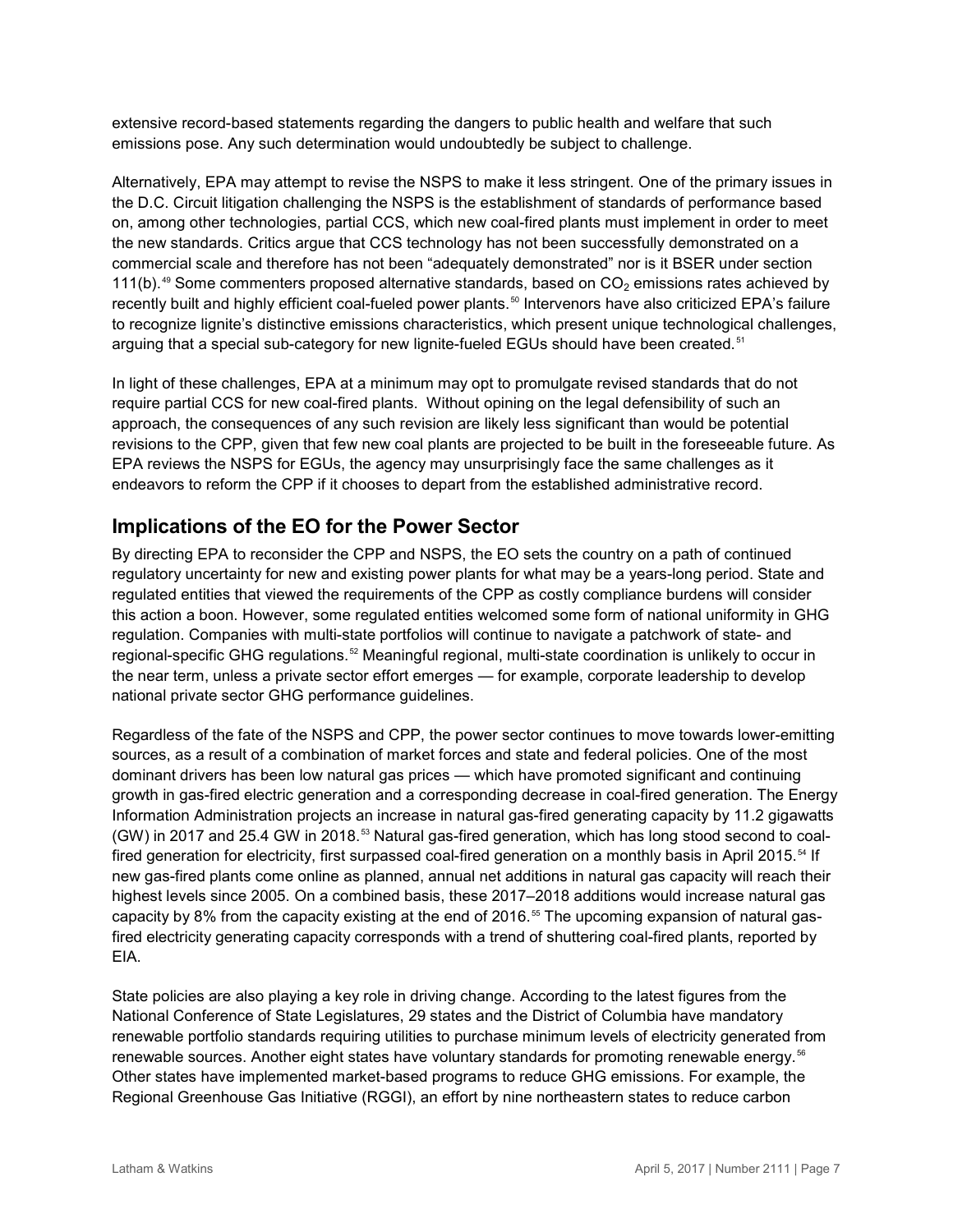extensive record-based statements regarding the dangers to public health and welfare that such emissions pose. Any such determination would undoubtedly be subject to challenge.

Alternatively, EPA may attempt to revise the NSPS to make it less stringent. One of the primary issues in the D.C. Circuit litigation challenging the NSPS is the establishment of standards of performance based on, among other technologies, partial CCS, which new coal-fired plants must implement in order to meet the new standards. Critics argue that CCS technology has not been successfully demonstrated on a commercial scale and therefore has not been "adequately demonstrated" nor is it BSER under section 111(b).<sup>[49](#page-11-32)</sup> Some commenters proposed alternative standards, based on  $CO<sub>2</sub>$  emissions rates achieved by recently built and highly efficient coal-fueled power plants. [50](#page-11-33) Intervenors have also criticized EPA's failure to recognize lignite's distinctive emissions characteristics, which present unique technological challenges, arguing that a special sub-category for new lignite-fueled EGUs should have been created.<sup>[51](#page-11-34)</sup>

In light of these challenges, EPA at a minimum may opt to promulgate revised standards that do not require partial CCS for new coal-fired plants. Without opining on the legal defensibility of such an approach, the consequences of any such revision are likely less significant than would be potential revisions to the CPP, given that few new coal plants are projected to be built in the foreseeable future. As EPA reviews the NSPS for EGUs, the agency may unsurprisingly face the same challenges as it endeavors to reform the CPP if it chooses to depart from the established administrative record.

## **Implications of the EO for the Power Sector**

By directing EPA to reconsider the CPP and NSPS, the EO sets the country on a path of continued regulatory uncertainty for new and existing power plants for what may be a years-long period. State and regulated entities that viewed the requirements of the CPP as costly compliance burdens will consider this action a boon. However, some regulated entities welcomed some form of national uniformity in GHG regulation. Companies with multi-state portfolios will continue to navigate a patchwork of state- and regional-specific GHG regulations.<sup>[52](#page-11-35)</sup> Meaningful regional, multi-state coordination is unlikely to occur in the near term, unless a private sector effort emerges — for example, corporate leadership to develop national private sector GHG performance guidelines.

Regardless of the fate of the NSPS and CPP, the power sector continues to move towards lower-emitting sources, as a result of a combination of market forces and state and federal policies. One of the most dominant drivers has been low natural gas prices — which have promoted significant and continuing growth in gas-fired electric generation and a corresponding decrease in coal-fired generation. The Energy Information Administration projects an increase in natural gas-fired generating capacity by 11.2 gigawatts  $(GW)$  in 2017 and 25.4 GW in 2018.<sup>[53](#page-11-36)</sup> Natural gas-fired generation, which has long stood second to coal-fired generation for electricity, first surpassed coal-fired generation on a monthly basis in April 2015.<sup>[54](#page-11-37)</sup> If new gas-fired plants come online as planned, annual net additions in natural gas capacity will reach their highest levels since 2005. On a combined basis, these 2017–2018 additions would increase natural gas capacity by 8% from the capacity existing at the end of 2016.<sup>[55](#page-11-38)</sup> The upcoming expansion of natural gasfired electricity generating capacity corresponds with a trend of shuttering coal-fired plants, reported by EIA.

State policies are also playing a key role in driving change. According to the latest figures from the National Conference of State Legislatures, 29 states and the District of Columbia have mandatory renewable portfolio standards requiring utilities to purchase minimum levels of electricity generated from renewable sources. Another eight states have voluntary standards for promoting renewable energy.<sup>[56](#page-11-39)</sup> Other states have implemented market-based programs to reduce GHG emissions. For example, the Regional Greenhouse Gas Initiative (RGGI), an effort by nine northeastern states to reduce carbon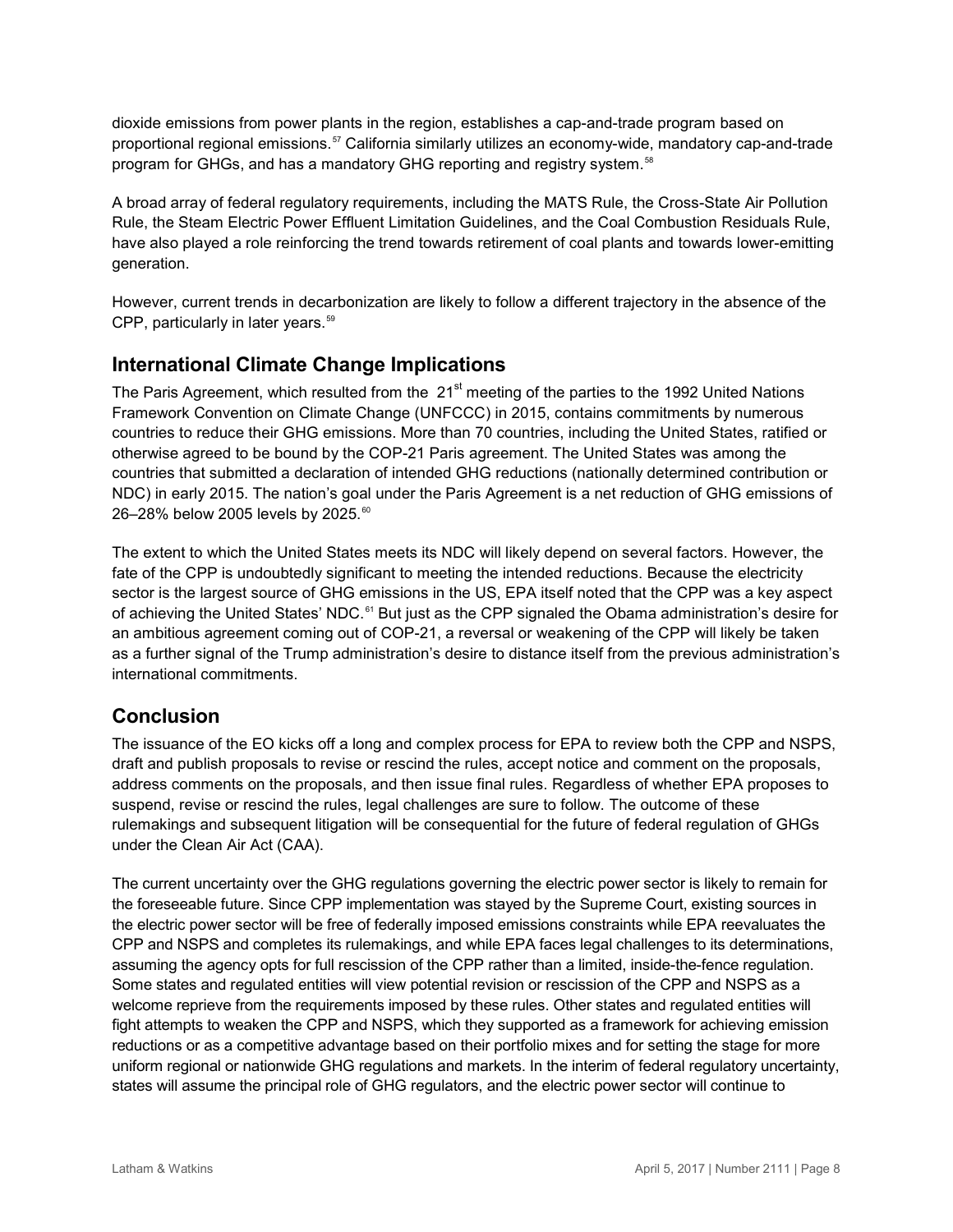dioxide emissions from power plants in the region, establishes a cap-and-trade program based on proportional regional emissions.[57](#page-11-40) California similarly utilizes an economy-wide, mandatory cap-and-trade program for GHGs, and has a mandatory GHG reporting and registry system.<sup>[58](#page-11-41)</sup>

A broad array of federal regulatory requirements, including the MATS Rule, the Cross-State Air Pollution Rule, the Steam Electric Power Effluent Limitation Guidelines, and the Coal Combustion Residuals Rule, have also played a role reinforcing the trend towards retirement of coal plants and towards lower-emitting generation.

However, current trends in decarbonization are likely to follow a different trajectory in the absence of the CPP, particularly in later years.<sup>[59](#page-11-42)</sup>

## **International Climate Change Implications**

The Paris Agreement, which resulted from the 21<sup>st</sup> meeting of the parties to the 1992 United Nations Framework Convention on Climate Change (UNFCCC) in 2015, contains commitments by numerous countries to reduce their GHG emissions. More than 70 countries, including the United States, ratified or otherwise agreed to be bound by the COP-21 Paris agreement. The United States was among the countries that submitted a declaration of intended GHG reductions (nationally determined contribution or NDC) in early 2015. The nation's goal under the Paris Agreement is a net reduction of GHG emissions of 26-28% below 2005 levels by 2025.<sup>[60](#page-11-43)</sup>

The extent to which the United States meets its NDC will likely depend on several factors. However, the fate of the CPP is undoubtedly significant to meeting the intended reductions. Because the electricity sector is the largest source of GHG emissions in the US, EPA itself noted that the CPP was a key aspect of achieving the United States' NDC.<sup>[61](#page-11-44)</sup> But just as the CPP signaled the Obama administration's desire for an ambitious agreement coming out of COP-21, a reversal or weakening of the CPP will likely be taken as a further signal of the Trump administration's desire to distance itself from the previous administration's international commitments.

## **Conclusion**

The issuance of the EO kicks off a long and complex process for EPA to review both the CPP and NSPS, draft and publish proposals to revise or rescind the rules, accept notice and comment on the proposals, address comments on the proposals, and then issue final rules. Regardless of whether EPA proposes to suspend, revise or rescind the rules, legal challenges are sure to follow. The outcome of these rulemakings and subsequent litigation will be consequential for the future of federal regulation of GHGs under the Clean Air Act (CAA).

The current uncertainty over the GHG regulations governing the electric power sector is likely to remain for the foreseeable future. Since CPP implementation was stayed by the Supreme Court, existing sources in the electric power sector will be free of federally imposed emissions constraints while EPA reevaluates the CPP and NSPS and completes its rulemakings, and while EPA faces legal challenges to its determinations, assuming the agency opts for full rescission of the CPP rather than a limited, inside-the-fence regulation. Some states and regulated entities will view potential revision or rescission of the CPP and NSPS as a welcome reprieve from the requirements imposed by these rules. Other states and regulated entities will fight attempts to weaken the CPP and NSPS, which they supported as a framework for achieving emission reductions or as a competitive advantage based on their portfolio mixes and for setting the stage for more uniform regional or nationwide GHG regulations and markets. In the interim of federal regulatory uncertainty, states will assume the principal role of GHG regulators, and the electric power sector will continue to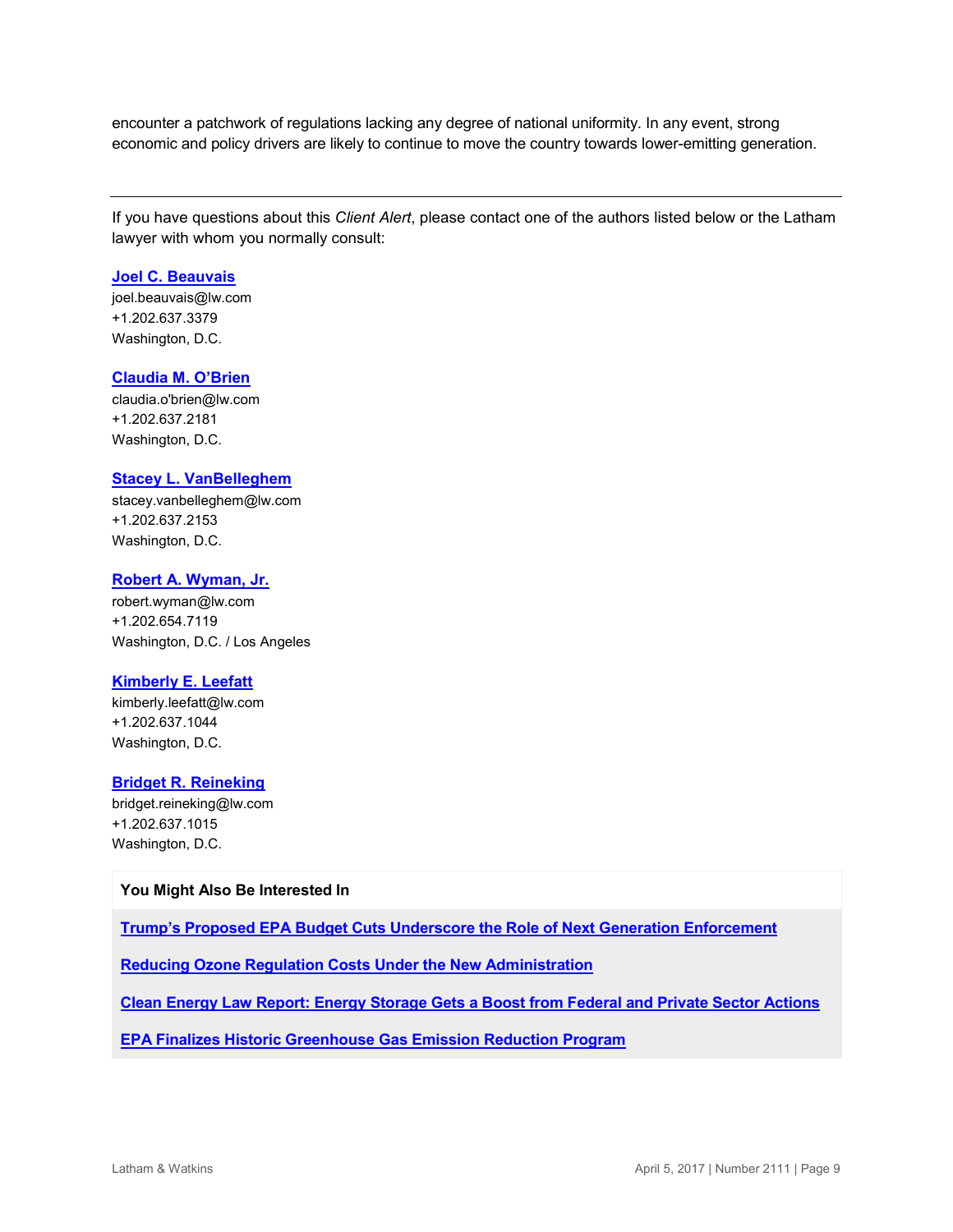encounter a patchwork of regulations lacking any degree of national uniformity. In any event, strong economic and policy drivers are likely to continue to move the country towards lower-emitting generation.

If you have questions about this *Client Alert*, please contact one of the authors listed below or the Latham lawyer with whom you normally consult:

#### **[Joel C. Beauvais](https://www.lw.com/people/joel-beauvais)**

[joel.beauvais@lw.com](mailto:joel.beauvais@lw.com) +1.202.637.3379 Washington, D.C.

#### **[Claudia M. O'Brien](https://www.lw.com/people/claudia-obrien)**

[claudia.o'brien@lw.com](mailto:claudia.o) +1.202.637.2181 Washington, D.C.

#### **[Stacey L. VanBelleghem](https://www.lw.com/people/stacey-vanbelleghem)**

[stacey.vanbelleghem@lw.com](mailto:stacey.vanbelleghem@lw.com) +1.202.637.2153 Washington, D.C.

#### **[Robert A. Wyman, Jr.](https://www.lw.com/people/robert-wyman)**

[robert.wyman@lw.com](mailto:robert.wyman@lw.com) +1.202.654.7119 Washington, D.C. / Los Angeles

#### **[Kimberly E. Leefatt](https://www.lw.com/people/kimberly-leefatt)**

[kimberly.leefatt@lw.com](mailto:kimberly.leefatt@lw.com) +1.202.637.1044 Washington, D.C.

#### **[Bridget R. Reineking](https://www.lw.com/people/bridget-reineking)**

[bridget.reineking@lw.com](mailto:bridget.reineking@lw.com) +1.202.637.1015 Washington, D.C.

#### **You Might Also Be Interested In**

**[Trump's Proposed EPA Budget Cuts Underscore the Role of Next Generation Enforcement](https://www.lw.com/thoughtLeadership/trump-EPA-budget-cuts-role-next-generation-enforcement)**

**[Reducing Ozone Regulation Costs Under the New Administration](https://www.lw.com/thoughtLeadership/reducing-ozone-regulation-costs-new-administration)**

**[Clean Energy Law Report: Energy Storage Gets a Boost from Federal and Private Sector Actions](http://www.cleanenergylawreport.com/finance-and-project-development/energy-storage-gets-a-boost-from-federal-and-private-sector-actions/)** 

**[EPA Finalizes Historic Greenhouse Gas Emission Reduction Program](https://www.lw.com/thoughtLeadership/lw-epa-issues-final-ghg-rules)**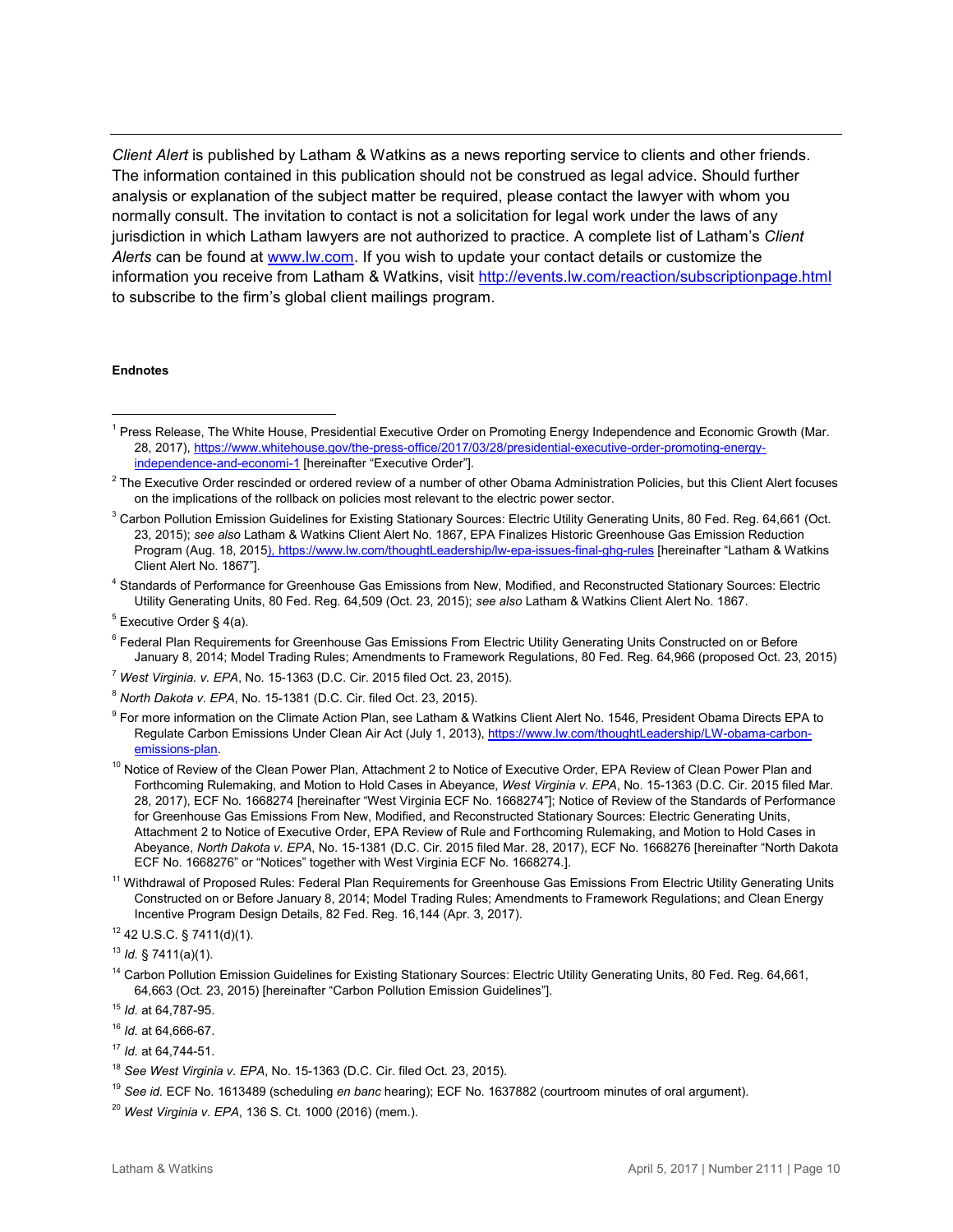*Client Alert* is published by Latham & Watkins as a news reporting service to clients and other friends. The information contained in this publication should not be construed as legal advice. Should further analysis or explanation of the subject matter be required, please contact the lawyer with whom you normally consult. The invitation to contact is not a solicitation for legal work under the laws of any jurisdiction in which Latham lawyers are not authorized to practice. A complete list of Latham's *Client Alerts* can be found at [www.lw.com.](http://www.lw.com/) If you wish to update your contact details or customize the information you receive from Latham & Watkins, visit<http://events.lw.com/reaction/subscriptionpage.html> to subscribe to the firm's global client mailings program.

#### **Endnotes**

 $\overline{a}$ 

<sup>11</sup> Withdrawal of Proposed Rules: Federal Plan Requirements for Greenhouse Gas Emissions From Electric Utility Generating Units Constructed on or Before January 8, 2014; Model Trading Rules; Amendments to Framework Regulations; and Clean Energy Incentive Program Design Details, 82 Fed. Reg. 16,144 (Apr. 3, 2017).

<sup>14</sup> Carbon Pollution Emission Guidelines for Existing Stationary Sources: Electric Utility Generating Units, 80 Fed. Reg. 64,661, 64,663 (Oct. 23, 2015) [hereinafter "Carbon Pollution Emission Guidelines"].

<span id="page-9-0"></span><sup>&</sup>lt;sup>1</sup> Press Release, The White House, Presidential Executive Order on Promoting Energy Independence and Economic Growth (Mar. 28, 2017)[, https://www.whitehouse.gov/the-press-office/2017/03/28/presidential-executive-order-promoting-energy](https://www.whitehouse.gov/the-press-office/2017/03/28/presidential-executive-order-promoting-energy-independence-and-economi-1)[independence-and-economi-1](https://www.whitehouse.gov/the-press-office/2017/03/28/presidential-executive-order-promoting-energy-independence-and-economi-1) [hereinafter "Executive Order"].

<span id="page-9-1"></span> $2$  The Executive Order rescinded or ordered review of a number of other Obama Administration Policies, but this Client Alert focuses on the implications of the rollback on policies most relevant to the electric power sector.

<span id="page-9-2"></span> $3$  Carbon Pollution Emission Guidelines for Existing Stationary Sources: Electric Utility Generating Units, 80 Fed. Reg. 64,661 (Oct. 23, 2015); *see also* Latham & Watkins Client Alert No. 1867, EPA Finalizes Historic Greenhouse Gas Emission Reduction Program (Aug. 18, 2015), https://www.lw.com/thoughtLeadership/lw-epa-issues-final-ghg-rules [hereinafter "Latham & Watkins Client Alert No. 1867"].

<span id="page-9-3"></span><sup>4</sup> Standards of Performance for Greenhouse Gas Emissions from New, Modified, and Reconstructed Stationary Sources: Electric Utility Generating Units, 80 Fed. Reg. 64,509 (Oct. 23, 2015); *see also* Latham & Watkins Client Alert No. 1867.

<span id="page-9-4"></span> $5$  Executive Order § 4(a).

<span id="page-9-5"></span><sup>&</sup>lt;sup>6</sup> Federal Plan Requirements for Greenhouse Gas Emissions From Electric Utility Generating Units Constructed on or Before January 8, 2014; Model Trading Rules; Amendments to Framework Regulations, 80 Fed. Reg. 64,966 (proposed Oct. 23, 2015)

<span id="page-9-6"></span><sup>7</sup> *West Virginia. v. EPA*, No. 15-1363 (D.C. Cir. 2015 filed Oct. 23, 2015).

<span id="page-9-7"></span><sup>8</sup> *North Dakota v. EPA*, No. 15-1381 (D.C. Cir. filed Oct. 23, 2015).

<span id="page-9-8"></span><sup>9</sup> For more information on the Climate Action Plan, see Latham & Watkins Client Alert No. 1546, President Obama Directs EPA to Regulate Carbon Emissions Under Clean Air Act (July 1, 2013)[, https://www.lw.com/thoughtLeadership/LW-obama-carbon](https://www.lw.com/thoughtLeadership/LW-obama-carbon-emissions-plan)[emissions-plan.](https://www.lw.com/thoughtLeadership/LW-obama-carbon-emissions-plan)

<sup>&</sup>lt;sup>10</sup> Notice of Review of the Clean Power Plan, Attachment 2 to Notice of Executive Order, EPA Review of Clean Power Plan and Forthcoming Rulemaking, and Motion to Hold Cases in Abeyance, *West Virginia v. EPA*, No. 15-1363 (D.C. Cir. 2015 filed Mar. 28, 2017), ECF No. 1668274 [hereinafter "West Virginia ECF No. 1668274"]; Notice of Review of the Standards of Performance for Greenhouse Gas Emissions From New, Modified, and Reconstructed Stationary Sources: Electric Generating Units, Attachment 2 to Notice of Executive Order, EPA Review of Rule and Forthcoming Rulemaking, and Motion to Hold Cases in Abeyance, *North Dakota v. EPA*, No. 15-1381 (D.C. Cir. 2015 filed Mar. 28, 2017), ECF No. 1668276 [hereinafter "North Dakota ECF No. 1668276" or "Notices" together with West Virginia ECF No. 1668274.].

<sup>12</sup> 42 U.S.C. § 7411(d)(1).

<sup>13</sup> *Id.* § 7411(a)(1).

<sup>15</sup> *Id.* at 64,787-95.

<sup>16</sup> *Id.* at 64,666-67.

<sup>17</sup> *Id.* at 64,744-51.

<sup>18</sup> *See West Virginia v. EPA*, No. 15-1363 (D.C. Cir. filed Oct. 23, 2015).

<sup>19</sup> *See id.* ECF No. 1613489 (scheduling *en banc* hearing); ECF No. 1637882 (courtroom minutes of oral argument).

<sup>20</sup> *West Virginia v. EPA*, 136 S. Ct. 1000 (2016) (mem.).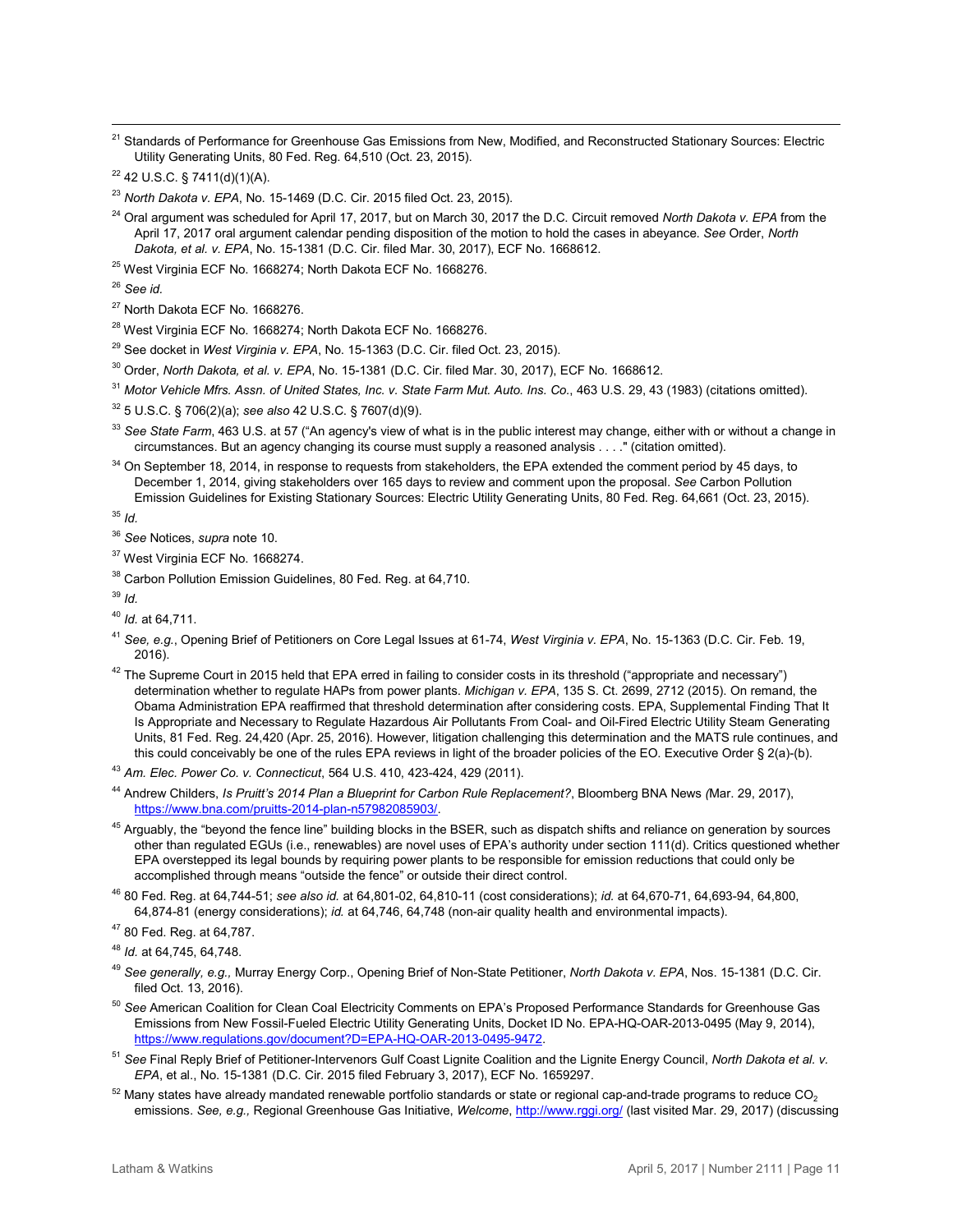$\overline{a}$ <sup>21</sup> Standards of Performance for Greenhouse Gas Emissions from New, Modified, and Reconstructed Stationary Sources: Electric Utility Generating Units, 80 Fed. Reg. 64,510 (Oct. 23, 2015).

<sup>25</sup> West Virginia ECF No. 1668274; North Dakota ECF No. 1668276.

<sup>26</sup> *See id.*

- <sup>27</sup> North Dakota ECF No. 1668276.
- <sup>28</sup> West Virginia ECF No. 1668274; North Dakota ECF No. 1668276.
- <sup>29</sup> See docket in *West Virginia v. EPA*, No. 15-1363 (D.C. Cir. filed Oct. 23, 2015).
- <sup>30</sup> Order, *North Dakota, et al. v. EPA*, No. 15-1381 (D.C. Cir. filed Mar. 30, 2017), ECF No. 1668612.
- <sup>31</sup> *Motor Vehicle Mfrs. Assn. of United States, Inc. v. State Farm Mut. Auto. Ins. Co.*, 463 U.S. 29, 43 (1983) (citations omitted).
- <sup>32</sup> 5 U.S.C. § 706(2)(a); *see also* 42 U.S.C. § 7607(d)(9).
- <sup>33</sup> See State Farm, 463 U.S. at 57 ("An agency's view of what is in the public interest may change, either with or without a change in circumstances. But an agency changing its course must supply a reasoned analysis . . . ." (citation omitted).
- <sup>34</sup> On September 18, 2014, in response to requests from stakeholders, the EPA extended the comment period by 45 days, to December 1, 2014, giving stakeholders over 165 days to review and comment upon the proposal. *See* Carbon Pollution Emission Guidelines for Existing Stationary Sources: Electric Utility Generating Units, 80 Fed. Reg. 64,661 (Oct. 23, 2015).

<sup>35</sup> *Id.* 

- <sup>36</sup> *See* Notices, *supra* note 10.
- <sup>37</sup> West Virginia ECF No. 1668274.
- <sup>38</sup> Carbon Pollution Emission Guidelines, 80 Fed. Reg. at 64,710.

<sup>39</sup> *Id.*

- <sup>40</sup> *Id.* at 64,711.
- <sup>41</sup> *See, e.g.*, Opening Brief of Petitioners on Core Legal Issues at 61-74, *West Virginia v. EPA*, No. 15-1363 (D.C. Cir. Feb. 19, 2016).
- $42$  The Supreme Court in 2015 held that EPA erred in failing to consider costs in its threshold ("appropriate and necessary") determination whether to regulate HAPs from power plants. *Michigan v. EPA*, 135 S. Ct. 2699, 2712 (2015). On remand, the Obama Administration EPA reaffirmed that threshold determination after considering costs. EPA, Supplemental Finding That It Is Appropriate and Necessary to Regulate Hazardous Air Pollutants From Coal- and Oil-Fired Electric Utility Steam Generating Units, 81 Fed. Reg. 24,420 (Apr. 25, 2016). However, litigation challenging this determination and the MATS rule continues, and this could conceivably be one of the rules EPA reviews in light of the broader policies of the EO. Executive Order § 2(a)-(b).
- <span id="page-10-0"></span><sup>43</sup> *Am. Elec. Power Co. v. Connecticut*, 564 U.S. 410, 423-424, 429 (2011).
- <sup>44</sup> Andrew Childers, *Is Pruitt's 2014 Plan a Blueprint for Carbon Rule Replacement?*, Bloomberg BNA News *(*Mar. 29, 2017), [https://www.bna.com/pruitts-2014-plan-n57982085903/.](https://www.bna.com/pruitts-2014-plan-n57982085903/)
- <sup>45</sup> Arguably, the "beyond the fence line" building blocks in the BSER, such as dispatch shifts and reliance on generation by sources other than regulated EGUs (i.e., renewables) are novel uses of EPA's authority under section 111(d). Critics questioned whether EPA overstepped its legal bounds by requiring power plants to be responsible for emission reductions that could only be accomplished through means "outside the fence" or outside their direct control.
- <span id="page-10-1"></span><sup>46</sup> 80 Fed. Reg. at 64,744-51; *see also id.* at 64,801-02, 64,810-11 (cost considerations); *id.* at 64,670-71, 64,693-94, 64,800, 64,874-81 (energy considerations); *id.* at 64,746, 64,748 (non-air quality health and environmental impacts).

- <span id="page-10-4"></span><sup>49</sup> *See generally, e.g.,* Murray Energy Corp., Opening Brief of Non-State Petitioner, *North Dakota v. EPA*, Nos. 15-1381 (D.C. Cir. filed Oct. 13, 2016).
- <span id="page-10-6"></span><span id="page-10-5"></span><sup>50</sup> *See* American Coalition for Clean Coal Electricity Comments on EPA's Proposed Performance Standards for Greenhouse Gas Emissions from New Fossil-Fueled Electric Utility Generating Units, Docket ID No. EPA-HQ-OAR-2013-0495 (May 9, 2014), [https://www.regulations.gov/document?D=EPA-HQ-OAR-2013-0495-9472.](https://www.regulations.gov/document?D=EPA-HQ-OAR-2013-0495-9472)
- <sup>51</sup> *See* Final Reply Brief of Petitioner-Intervenors Gulf Coast Lignite Coalition and the Lignite Energy Council, *North Dakota et al. v. EPA*, et al., No. 15-1381 (D.C. Cir. 2015 filed February 3, 2017), ECF No. 1659297.
- $52$  Many states have already mandated renewable portfolio standards or state or regional cap-and-trade programs to reduce CO<sub>2</sub> emissions. *See, e.g.,* Regional Greenhouse Gas Initiative, *Welcome*[, http://www.rggi.org/](http://www.rggi.org/) (last visited Mar. 29, 2017) (discussing

 $22$  42 U.S.C. § 7411(d)(1)(A).

<sup>23</sup> *North Dakota v. EPA*, No. 15-1469 (D.C. Cir. 2015 filed Oct. 23, 2015).

<sup>24</sup> Oral argument was scheduled for April 17, 2017, but on March 30, 2017 the D.C. Circuit removed *North Dakota v. EPA* from the April 17, 2017 oral argument calendar pending disposition of the motion to hold the cases in abeyance. *See* Order, *North Dakota, et al. v. EPA*, No. 15-1381 (D.C. Cir. filed Mar. 30, 2017), ECF No. 1668612.

<span id="page-10-2"></span><sup>47</sup> 80 Fed. Reg. at 64,787.

<span id="page-10-3"></span><sup>48</sup> *Id.* at 64,745, 64,748.